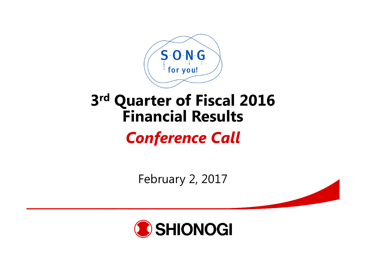

### **3r<sup>d</sup> Quarter of Fiscal 2016 Financial Results***Conference Call*

February 2, 2017

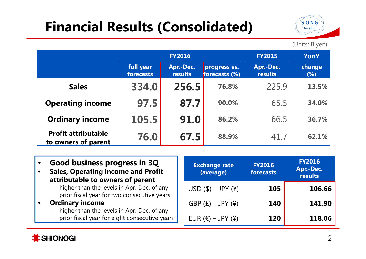### **Financial Results (Consolidated)**



(Units: B yen)

|                                                   |                        | <b>FY2016</b>        |                               | <b>FY2015</b>        | <b>YonY</b>   |
|---------------------------------------------------|------------------------|----------------------|-------------------------------|----------------------|---------------|
|                                                   | full year<br>forecasts | Apr.-Dec.<br>results | progress vs.<br>forecasts (%) | Apr.-Dec.<br>results | change<br>(%) |
| <b>Sales</b>                                      | 334.0                  | 256.5                | 76.8%                         | 225.9                | 13.5%         |
| <b>Operating income</b>                           | 97.5                   | 87.7                 | 90.0%                         | 65.5                 | 34.0%         |
| <b>Ordinary income</b>                            | 105.5                  | 91.0                 | 86.2%                         | 66.5                 | 36.7%         |
| <b>Profit attributable</b><br>to owners of parent | 76.0                   | 67.5                 | 88.9%                         | 41.7                 | 62.1%         |

- $\bullet$ **Good business progress in 3Q**
- $\bullet$  **Sales, Operating income and Profit attributable to owners of parent**
	- higher than the levels in Apr.-Dec. of any prior fiscal year for two consecutive years
- $\bullet$  **Ordinary income**
	- higher than the levels in Apr.-Dec. of any prior fiscal year for eight consecutive years

| <b>Exchange rate</b><br>(average)      | <b>FY2016</b><br>forecasts | <b>FY2016</b><br>Apr.-Dec.<br>results |
|----------------------------------------|----------------------------|---------------------------------------|
| $USD ($) - JPY (¥)$                    |                            | 106.66<br>105                         |
| GBP $(E)$ – JPY $(\frac{1}{2})$        |                            | 141.90<br>140                         |
| EUR $(\epsilon)$ – JPY $(\frac{4}{3})$ |                            | 118.06<br>120                         |

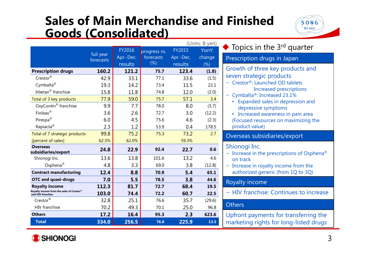### **Sales of Main Merchandise and Finished Goods (Consolidated)**



|                                                                |           |           |              |           | (Units: B yen) | $\blacklozenge$ Topics in the 3 <sup>rd</sup> quarter               |
|----------------------------------------------------------------|-----------|-----------|--------------|-----------|----------------|---------------------------------------------------------------------|
|                                                                | full year | FY2016    | progress vs. | FY2015    | YonY           |                                                                     |
|                                                                | forecasts | Apr.-Dec. | forecasts    | Apr.-Dec. | change         | Prescription drugs in Japan                                         |
|                                                                |           | results   | $(\%)$       | results   | $(\%)$         |                                                                     |
| <b>Prescription drugs</b>                                      | 160.2     | 121.2     | 75.7         | 123.4     | (1.8)          | Growth of three key products and                                    |
| Crestor®                                                       | 42.9      | 33.1      | 77.1         | 33.6      | (1.5)          | seven strategic products                                            |
| Cymbalta <sup>®</sup>                                          | 19.3      | 14.2      | 73.4         | 11.5      | 23.1           | - Crestor®: Launched OD tablets                                     |
| Irbetan <sup>®</sup> franchise                                 | 15.8      | 11.8      | 74.8         | 12.0      | (2.0)          | <b>Increased prescriptions</b><br>Cymbalta®: Increased 23.1%        |
| Total of 3 key products                                        | 77.9      | 59.0      | 75.7         | 57.1      | 3.4            | Expanded sales in depression and                                    |
| OxyContin <sup>®</sup> franchise                               | 9.9       | 7.7       | 78.0         | 8.0       | (3.7)          | depressive symptoms                                                 |
| Finibax <sup>®</sup>                                           | 3.6       | 2.6       | 72.7         | 3.0       | (12.2)         | • Increased awareness in pain area                                  |
| Pirespa <sup>®</sup>                                           | 6.0       | 4.5       | 75.6         | 4.6       | (2.3)          | (Focused resources on maximizing the                                |
| Rapiacta <sup>®</sup>                                          | 2.3       | 1.2       | 53.9         | 0.4       | 178.5          | product value)                                                      |
| Total of 7 strategic products                                  | 99.8      | 75.2      | 75.3         | 73.2      | 2.7            | Overseas subsidiaries/export                                        |
| [percent of sales]                                             | 62.3%     | 62.0%     |              | 59.3%     |                |                                                                     |
| <b>Overseas</b><br>subsidiaries/export                         | 24.8      | 22.9      | 92.4         | 22.7      | 0.6            | Shionogi Inc.                                                       |
| Shionogi Inc.                                                  | 13.6      | 13.8      | 101.6        | 13.2      | 4.6            | - Increase in the prescriptions of Osphena <sup>®</sup><br>on track |
| Osphena®                                                       | 4.8       | 3.3       | 69.0         | 3.8       | (12.8)         | - Increase in royalty income from the                               |
| <b>Contract manufacturing</b>                                  | 12.4      | 8.8       | 70.9         | 5.4       | 65.1           | authorized generic (from 1Q to 3Q)                                  |
| <b>OTC and quasi-drugs</b>                                     | 7.0       | 5.5       | 78.5         | 3.8       | 44.6           | Royalty income                                                      |
| <b>Royalty income</b>                                          | 112.3     | 81.7      | 72.7         | 68.4      | 19.5           |                                                                     |
| Royalty income from the sales of Crestor®<br>and HIV franchise | 103.0     | 74.4      | 72.2         | 60.7      | 22.5           | - HIV franchise: Continues to increase                              |
| $Crestor^{\circledR}$                                          | 32.8      | 25.1      | 76.6         | 35.7      | (29.6)         |                                                                     |
| <b>HIV</b> franchise                                           | 70.2      | 49.3      | 70.1         | 25.0      | 96.8           | <b>Others</b>                                                       |
| <b>Others</b>                                                  | 17.2      | 16.4      | 95.3         | 2.3       | 623.6          | Upfront payments for transferring the                               |
| <b>Total</b>                                                   | 334.0     | 256.5     | 76.8         | 225.9     | 13.5           | marketing rights for long-listed drugs                              |

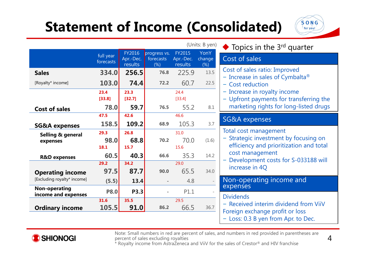## **Statement of Income (Consolidated)**



|                                      |                        |                                |                                     |                                | (Units: B yen)           | $\blacklozenge$ Topics in the 3 <sup>rd</sup> quarter                                                             |
|--------------------------------------|------------------------|--------------------------------|-------------------------------------|--------------------------------|--------------------------|-------------------------------------------------------------------------------------------------------------------|
|                                      | full year<br>forecasts | FY2016<br>Apr.-Dec.<br>results | progress vs.<br>forecasts<br>$(\%)$ | FY2015<br>Apr.-Dec.<br>results | YonY<br>change<br>$(\%)$ | Cost of sales                                                                                                     |
| <b>Sales</b>                         | 334.0                  | 256.5                          | 76.8                                | 225.9                          | 13.5                     | Cost of sales ratio: Improved<br>- Increase in sales of Cymbalta®                                                 |
| [Royalty* income]                    | 103.0                  | 74.4                           | 72.2                                | 60.7                           | 22.5                     | - Cost reduction                                                                                                  |
|                                      | 23.4<br>[33.8]         | 23.3<br>[32.7]                 |                                     | 24.4<br>[33.4]                 |                          | - Increase in royalty income<br>- Upfront payments for transferring the<br>marketing rights for long-listed drugs |
| <b>Cost of sales</b>                 | 78.0                   | 59.7                           | 76.5                                | 55.2                           | 8.1                      |                                                                                                                   |
|                                      | 47.5                   | 42.6                           |                                     | 46.6                           |                          | SG&A expenses                                                                                                     |
| <b>SG&amp;A expenses</b>             | 158.5                  | 109.2                          | 68.9                                | 105.3                          | 3.7                      |                                                                                                                   |
| <b>Selling &amp; general</b>         | 29.3                   | 26.8                           |                                     | 31.0                           |                          | Total cost management                                                                                             |
| expenses                             | 98.0<br>18.1           | 68.8<br>15.7                   | 70.2                                | 70.0<br>15.6                   | (1.6)                    | Strategic investment by focusing on<br>efficiency and prioritization and total                                    |
| <b>R&amp;D expenses</b>              | 60.5                   | 40.3                           | 66.6                                | 35.3                           | 14.2                     | cost management                                                                                                   |
|                                      | 29.2                   | 34.2                           |                                     | 29.0                           |                          | Development costs for S-033188 will                                                                               |
| <b>Operating income</b>              | 97.5                   | 87.7                           | 90.0                                | 65.5                           | 34.0                     | increase in 4Q                                                                                                    |
| [Excluding royalty* income]          | (5.5)                  | 13.4                           | $\blacksquare$                      | 4.8                            |                          | Non-operating income and                                                                                          |
| Non-operating<br>income and expenses | <b>P8.0</b>            | <b>P3.3</b>                    |                                     | P1.1                           |                          | expenses<br><b>Dividends</b>                                                                                      |
|                                      | 31.6                   | 35.5                           |                                     | 29.5                           |                          | - Received interim dividend from ViiV                                                                             |
| <b>Ordinary income</b>               | 105.5                  | 91.0                           | 86.2                                | 66.5                           | 36.7                     | Foreign exchange profit or loss                                                                                   |
|                                      |                        |                                |                                     |                                |                          | $\sim$ $\sim$ $\sim$ $\sim$ $\sim$ $\sim$ $\sim$                                                                  |

– Loss: 0.3 B yen from Apr. to Dec.



Note: Small numbers in red are percent of sales, and numbers in red provided in parentheses are percent of sales excluding royalties

\* Royalty income from AstraZeneca and ViiV for the sales of Crestor ® and HIV franchise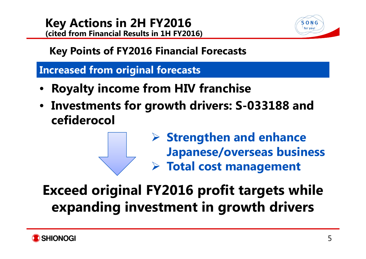

### **Key Points of FY2016 Financial Forecasts**

#### **Increased from original forecasts**

- •**Royalty income from HIV franchise**
- **Investments for growth drivers: S-033188 and cefiderocol**



### **Exceed original FY2016 profit targets while expanding investment in growth drivers**

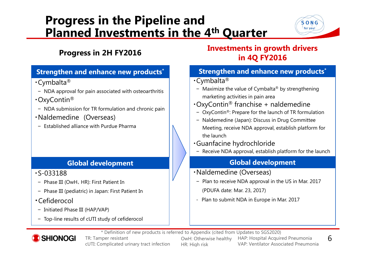### **Progress in the Pipeline and Planned Investments in the 4th Quarter**



#### **Strengthen and enhance new products\***

- $\cdot$ Cymbalta $^{\circledR}$
- NDA approval for pain associated with osteoarthritis
- $\cdot$ OxyContin $^{\circledR}$
- NDA submission for TR formulation and chronic pain
- ・Naldemedine (Overseas)
- Established alliance with Purdue Pharma

#### **Global development**

#### ・S-033188

- Phase III (OwH、HR): First Patient In
- Phase III (pediatric) in Japan: First Patient In
- ・Cefiderocol
	- Initiated Phase III (HAP/VAP)
	- Top-line results of cUTI study of cefiderocol

# **Progress** in 2H FY2016 **Investments in growth drivers in 4Q FY2016**

#### **Strengthen and enhance new products\***

#### $\cdot$ Cymbalta $^{\circledR}$

- $-$  Maximize the value of Cymbalta® by strengthening marketing activities in pain area
- $\cdot$ OxyContin® franchise + naldemedine
- OxyContin ®: Prepare for the launch of TR formulation
- Naldemedine (Japan): Discuss in Drug Committee Meeting, receive NDA approval, establish platform for the launch
- ・Guanfacine hydrochloride
- Receive NDA approval, establish platform for the launch

#### **Global development**

- ・Naldemedine (Overseas)
	- Plan to receive NDA approval in the US in Mar. 2017 (PDUFA date: Mar. 23, 2017)
	- Plan to submit NDA in Europe in Mar. 2017





TR: Tamper resistant cUTI: Complicated urinary tract infection

OwH: Otherwise healthy HR: Hi gh risk

6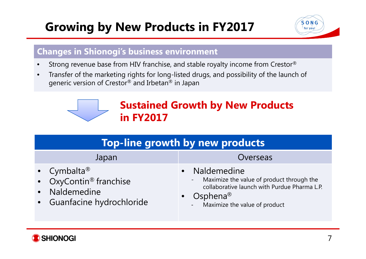**Growing by New Products in FY2017**



#### **Changes in Shionogi's business environment**

- •• Strong revenue base from HIV franchise, and stable royalty income from Crestor®
- • Transfer of the marketing rights for long-listed drugs, and possibility of the launch of generic version of Crestor® and Irbetan® in Japan



| Top-line growth by new products                                                                            |  |                                                                                                                                                                                                               |  |  |  |  |
|------------------------------------------------------------------------------------------------------------|--|---------------------------------------------------------------------------------------------------------------------------------------------------------------------------------------------------------------|--|--|--|--|
| Japan                                                                                                      |  | Overseas                                                                                                                                                                                                      |  |  |  |  |
| • Cymbalta <sup>®</sup><br>• OxyContin <sup>®</sup> franchise<br>Naldemedine<br>• Guanfacine hydrochloride |  | • Naldemedine<br>Maximize the value of product through the<br>$\pm$ .<br>collaborative launch with Purdue Pharma L.P.<br>Osphena <sup>®</sup><br>$\bullet$<br>Maximize the value of product<br>$\blacksquare$ |  |  |  |  |

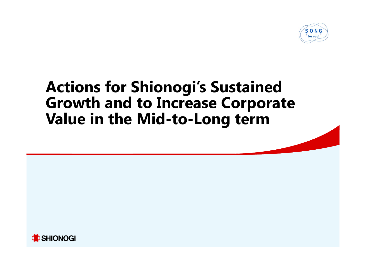

### **Actions for Shionogi's Sustained Growth and to Increase Corporate Value in the Mid-to-Long term**

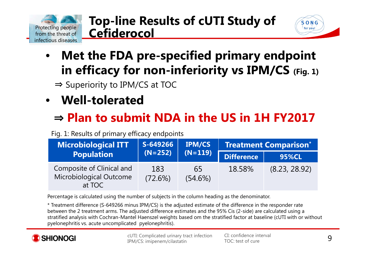



• **Met the FDA pre-specified primary endpoint in efficacy for non-inferiority vs IPM/CS (Fig. 1)**

⇒ Superiority to IPM/CS at TOC

•**Well-tolerated**

### ⇒ **Plan to submit NDA in the US in 1H FY2017**

#### Fig. 1: Results of primary efficacy endpoints

| <b>Microbiological ITT</b>                                            | S-649266       | <b>IPM/CS</b> | <b>Treatment Comparison*</b> |               |  |
|-----------------------------------------------------------------------|----------------|---------------|------------------------------|---------------|--|
| <b>Population</b>                                                     | $(N=252)$      | $(N=119)$     | <b>Difference</b>            | <b>95%CL</b>  |  |
| Composite of Clinical and<br><b>Microbiological Outcome</b><br>at TOC | 183<br>(72.6%) | 65<br>(54.6%) | 18.58%                       | (8.23, 28.92) |  |

Percentage is calculated using the number of subjects in the column heading as the denominator.

\* Treatment difference (S-649266 minus IPM/CS) is the adjusted estimate of the difference in the responder rate between the 2 treatment arms. The adjusted difference estimates and the 95% Cis (2-side) are calculated using a stratified analysis with Cochran-Mantel Haenszel weights based om the stratified factor at baseline (cUTI with or without pyelonephritis vs. acute uncomplicated pyelonephritis).

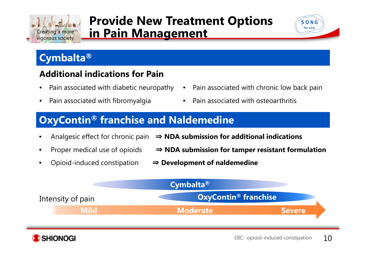

### **Provide New Treatment Options in Pain Management**



### **Cymbalta ®**

#### **Additional indications for Pain**

- •Pain associated with diabetic neuropathy
- $\bullet$ Pain associated with fibromyalgia
- •Pain associated with chronic low back pain
- •Pain associated with osteoarthritis

### **OxyContin ® franchise and Naldemedine**

- • Analgesic effect for chronic pain ⇒ **NDA submission for additional indications**
- •Proper medical use of opioids
- ⇒ **NDA submission for tamper resistant formulation**
- Opioid-induced constipation ⇒ **Development of naldemedine**





•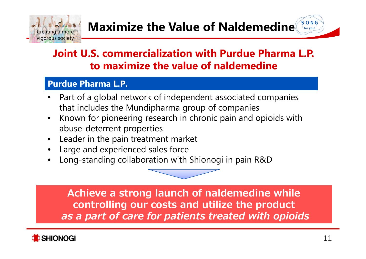

### **Joint U.S. commercialization with Purdue Pharma L.P. to maximize the value of naldemedine**

#### **Purdue Pharma L.P.**

- • Part of a global network of independent associated companies that includes the Mundipharma group of companies
- • Known for pioneering research in chronic pain and opioids with abuse-deterrent properties
- •Leader in the pain treatment market
- •Large and experienced sales force
- •Long-standing collaboration with Shionogi in pain R&D

**Achieve a strong launch of naldemedine while controlling our costs and utilize the product** *as a part of care for patients treated with opioids*



 $S$  O N G for you!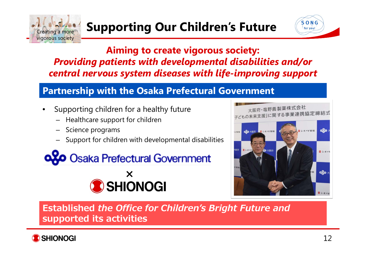



#### **Aiming to create vigorous society:**  *Providing patients with developmental disabilities and/or central nervous system diseases with life-improving support*

#### **Partnership with the Osaka Prefectural Government**

- • Supporting children for a healthy future
	- –Healthcare support for children
	- Science programs
	- –Support for children with developmental disabilities







**Established** *the Office for Children's Bright Future and*  **supported its activities**

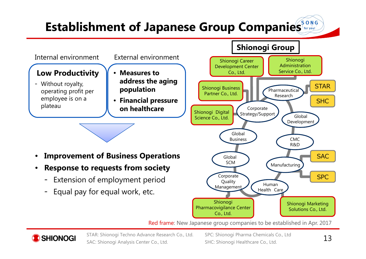### **Establishment of Japanese Group Companies**



Red frame: New Japanese group companies to be established in Apr. 2017



STAR: Shionogi Techno Advance Research Co., Ltd. SAC: Shionogi Analysis Center Co., Ltd.

SPC: Shionogi Pharma Chemicals Co., Ltd SHC: Shionogi Healthcare Co., Ltd.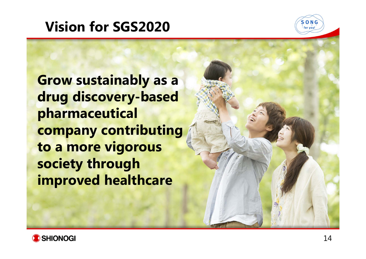### **Vision for SGS2020**

**Grow sustainably as a drug discovery-based pharmaceutical company contributing to a more vigorous society through improved healthcare**

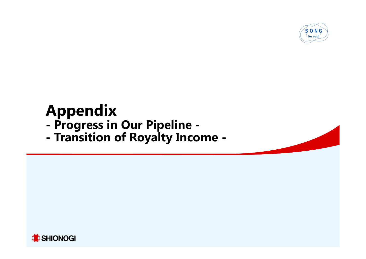

# **Appendix**

- **- Progress in Our Pipeline -**
- **- Transition of Royalty Income -**

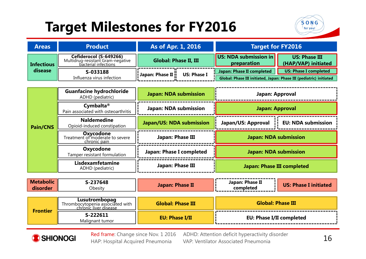### **Target Milestones for FY2016**



| <b>Areas</b>      | <b>Product</b>                                                                      | As of Apr. 1, 2016           |                    | <b>Target for FY2016</b>                                            |                                             |
|-------------------|-------------------------------------------------------------------------------------|------------------------------|--------------------|---------------------------------------------------------------------|---------------------------------------------|
| <b>Infectious</b> | Cefiderocol (S-649266)<br>Multidrug-resistant Gram-negative<br>bacterial infections | <b>Global: Phase II, III</b> |                    | US: NDA submission in<br>preparation                                | <b>US: Phase III</b><br>(HAP/VAP) initiated |
| disease           | S-033188                                                                            |                              | <b>US: Phase I</b> | <b>Japan: Phase II completed</b>                                    | <b>US: Phase I completed</b>                |
|                   | Influenza virus infection                                                           | ! Japan: Phase II !!         |                    | Global: Phase III initiated, Japan: Phase III (pediatric) initiated |                                             |

|                 | <b>Guanfacine hydrochloride</b><br>ADHD (pediatric)          | <b>Japan: NDA submission</b>    | Japan: Approval                         |
|-----------------|--------------------------------------------------------------|---------------------------------|-----------------------------------------|
|                 | Cymbalta <sup>®</sup><br>Pain associated with osteoarthritis | <b>Japan: NDA submission</b>    | Japan: Approval                         |
| <b>Pain/CNS</b> | <b>Naldemedine</b><br>Opioid-induced constipation            | <b>Japan/US: NDA submission</b> | Japan/US: Approval   EU: NDA submission |
|                 | Oxycodone<br>Treatment of moderate to severe<br>chronic pain | Japan: Phase III                | <b>Japan: NDA submission</b>            |
|                 | Oxycodone<br>Tamper resistant formulation                    | Japan: Phase I completed        | <b>Japan: NDA submission</b>            |
|                 | Lisdexamfetamine<br>ADHD (pediatric)                         | Japan: Phase III                | <b>Japan: Phase III completed</b>       |

| <b>Metabolic</b><br>disorder | S-237648<br>Obesity                                                               | Japan: Phase II          | <b>Japan: Phase II</b><br>completed | <b>US: Phase I initiated</b> |
|------------------------------|-----------------------------------------------------------------------------------|--------------------------|-------------------------------------|------------------------------|
|                              |                                                                                   |                          |                                     |                              |
| <b>Frontier</b>              | <b>Lusutrombopag</b><br>Thrombocytopenia associated with<br>chronic liver disease | <b>Global: Phase III</b> | <b>Global: Phase III</b>            |                              |
|                              | S-222611<br>Malignant tumor                                                       | <b>EU: Phase I/II</b>    | <b>EU: Phase I/II completed</b>     |                              |



Red frame: Change since Nov. 1 2016

HAP: Hospital Acquired Pneumonia VAP: Ventilator Associated Pneumonia ADHD: Attention deficit hyperactivity disorder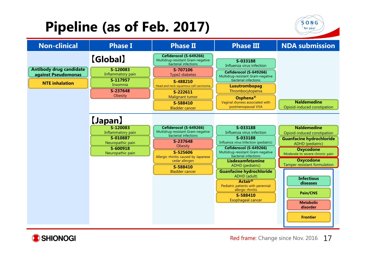### **Pipeline (as of Feb. 2017)**





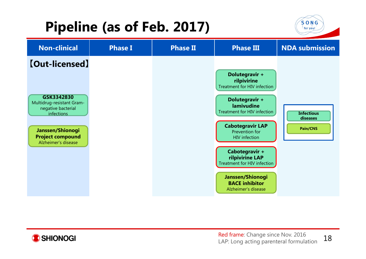### **Pipeline (as of Feb. 2017)**



| <b>Non-clinical</b>                                                                                                                                                 | <b>Phase I</b> | <b>Phase II</b> | <b>Phase III</b>                                                                                                                                                                                                                                                                                                                                | <b>NDA submission</b>                     |
|---------------------------------------------------------------------------------------------------------------------------------------------------------------------|----------------|-----------------|-------------------------------------------------------------------------------------------------------------------------------------------------------------------------------------------------------------------------------------------------------------------------------------------------------------------------------------------------|-------------------------------------------|
| [Out-licensed]<br>GSK3342830<br>Multidrug-resistant Gram-<br>negative bacterial<br>infections<br>Janssen/Shionogi<br><b>Project compound</b><br>Alzheimer's disease |                |                 | Dolutegravir +<br>rilpivirine<br>Treatment for HIV infection<br>Dolutegravir +<br><b>lamivudine</b><br>Treatment for HIV infection<br><b>Cabotegravir LAP</b><br>Prevention for<br><b>HIV</b> infection<br>Cabotegravir +<br>rilpivirine LAP<br>Treatment for HIV infection<br>Janssen/Shionogi<br><b>BACE</b> inhibitor<br>Alzheimer's disease | <b>Infectious</b><br>diseases<br>Pain/CNS |



18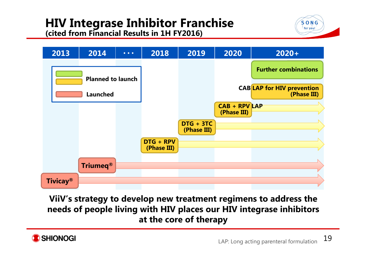### **HIV Integrase Inhibitor Franchise**

**(cited from Financial Results in 1H FY2016)**





**ViiV's strategy to develop new treatment regimens to address the needs of people living with HIV places our HIV integrase inhibitors at the core of therapy**

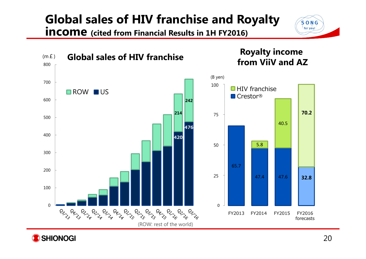### **Global sales of HIV franchise and Royalty**

**income (cited from Financial Results in 1H FY2016)**



**Royalty income** 

 $S$  O N G for you!

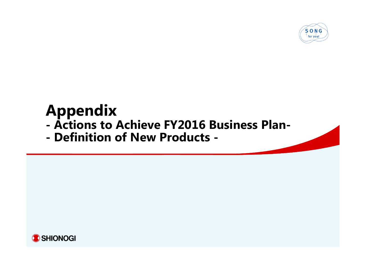

# **Appendix**

- **- Actions to Achieve FY2016 Business Plan-**
- **- Definition of New Products -**

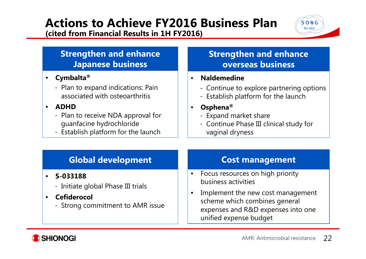### **Actions to Achieve FY2016 Business Plan**

**(cited from Financial Results in 1H FY2016)**



#### **Strengthen and enhance Japanese business**

- $\bullet$  **Cymbalta ®**
	- Plan to expand indications: Pain associated with osteoarthritis

#### •**ADHD**

- Plan to receive NDA approval for guanfacine hydrochloride
- Establish platform for the launch

#### **Strengthen and enhance overseas business**

#### •**Naldemedine**

- Continue to explore partnering options
- Establish platform for the launch
- • **Osphena ®**
	- Expand market share
	- Continue Phase III clinical study for vaginal dryness

#### **Global development**

#### $\bullet$ **S-033188**

- Initiate global Phase III trials
- • **Cefiderocol**
	- Strong commitment to AMR issue

#### **Cost management**

- $\bullet$  Focus resources on high priority business activities
- $\bullet$  Implement the new cost management scheme which combines general expenses and R&D expenses into one unified expense budget

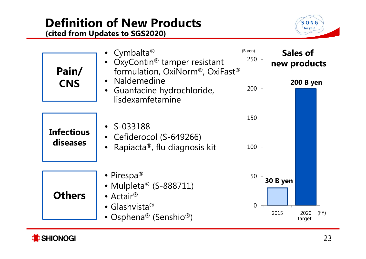#### **Definition of New Products(cited from Updates to SGS2020)**